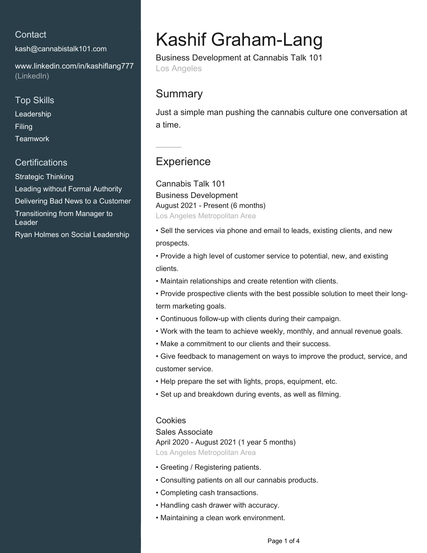### **Contact**

[kash@cannabistalk101.com](mailto:kash@cannabistalk101.com)

[www.linkedin.com/in/kashiflang777](https://www.linkedin.com/in/kashiflang777?jobid=1234&lipi=urn%3Ali%3Apage%3Ad_jobs_easyapply_pdfgenresume%3BPNahe83dSeWpOxzFAAKS2g%3D%3D&licu=urn%3Ali%3Acontrol%3Ad_jobs_easyapply_pdfgenresume-v02_profile) [\(LinkedIn\)](https://www.linkedin.com/in/kashiflang777?jobid=1234&lipi=urn%3Ali%3Apage%3Ad_jobs_easyapply_pdfgenresume%3BPNahe83dSeWpOxzFAAKS2g%3D%3D&licu=urn%3Ali%3Acontrol%3Ad_jobs_easyapply_pdfgenresume-v02_profile)

#### Top Skills

Leadership Filing Teamwork

#### **Certifications**

Strategic Thinking Leading without Formal Authority Delivering Bad News to a Customer Transitioning from Manager to Leader

Ryan Holmes on Social Leadership

# Kashif Graham-Lang

Business Development at Cannabis Talk 101 Los Angeles

## **Summary**

Just a simple man pushing the cannabis culture one conversation at a time.

## **Experience**

Cannabis Talk 101 Business Development August 2021 - Present (6 months) Los Angeles Metropolitan Area

• Sell the services via phone and email to leads, existing clients, and new prospects.

• Provide a high level of customer service to potential, new, and existing clients.

- Maintain relationships and create retention with clients.
- Provide prospective clients with the best possible solution to meet their longterm marketing goals.
- Continuous follow-up with clients during their campaign.
- Work with the team to achieve weekly, monthly, and annual revenue goals.
- Make a commitment to our clients and their success.
- Give feedback to management on ways to improve the product, service, and customer service.
- Help prepare the set with lights, props, equipment, etc.
- Set up and breakdown during events, as well as filming.

#### Cookies

#### Sales Associate

April 2020 - August 2021 (1 year 5 months)

Los Angeles Metropolitan Area

- Greeting / Registering patients.
- Consulting patients on all our cannabis products.
- Completing cash transactions.
- Handling cash drawer with accuracy.
- Maintaining a clean work environment.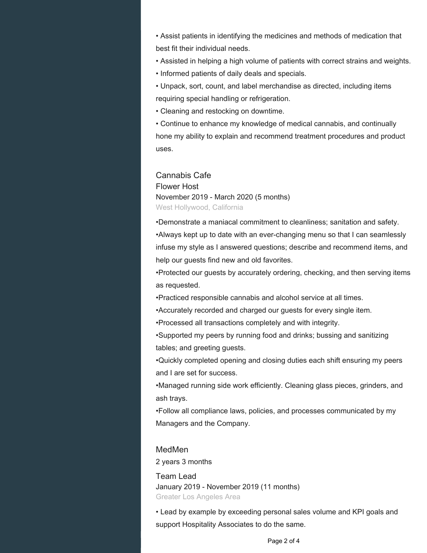• Assist patients in identifying the medicines and methods of medication that best fit their individual needs.

- Assisted in helping a high volume of patients with correct strains and weights.
- Informed patients of daily deals and specials.

• Unpack, sort, count, and label merchandise as directed, including items requiring special handling or refrigeration.

• Cleaning and restocking on downtime.

• Continue to enhance my knowledge of medical cannabis, and continually hone my ability to explain and recommend treatment procedures and product uses.

#### Cannabis Cafe

Flower Host November 2019 - March 2020 (5 months) West Hollywood, California

•Demonstrate a maniacal commitment to cleanliness; sanitation and safety. •Always kept up to date with an ever-changing menu so that I can seamlessly infuse my style as I answered questions; describe and recommend items, and help our guests find new and old favorites.

•Protected our guests by accurately ordering, checking, and then serving items as requested.

•Practiced responsible cannabis and alcohol service at all times.

•Accurately recorded and charged our guests for every single item.

•Processed all transactions completely and with integrity.

•Supported my peers by running food and drinks; bussing and sanitizing tables; and greeting guests.

•Quickly completed opening and closing duties each shift ensuring my peers and I are set for success.

•Managed running side work efficiently. Cleaning glass pieces, grinders, and ash trays.

•Follow all compliance laws, policies, and processes communicated by my Managers and the Company.

## MedMen

2 years 3 months

Team Lead January 2019 - November 2019 (11 months) Greater Los Angeles Area

• Lead by example by exceeding personal sales volume and KPI goals and support Hospitality Associates to do the same.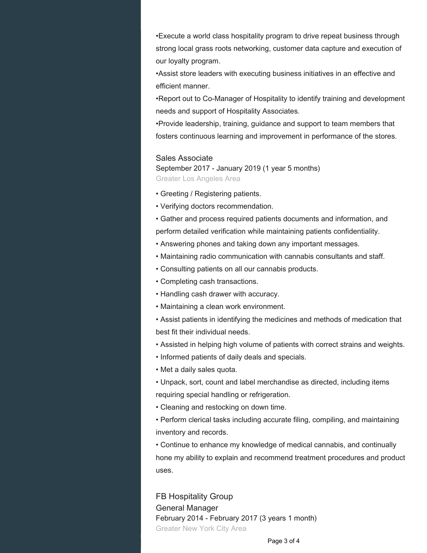•Execute a world class hospitality program to drive repeat business through strong local grass roots networking, customer data capture and execution of our loyalty program.

•Assist store leaders with executing business initiatives in an effective and efficient manner.

•Report out to Co-Manager of Hospitality to identify training and development needs and support of Hospitality Associates.

•Provide leadership, training, guidance and support to team members that fosters continuous learning and improvement in performance of the stores.

#### Sales Associate

September 2017 - January 2019 (1 year 5 months) Greater Los Angeles Area

- Greeting / Registering patients.
- Verifying doctors recommendation.
- Gather and process required patients documents and information, and

perform detailed verification while maintaining patients confidentiality.

- Answering phones and taking down any important messages.
- Maintaining radio communication with cannabis consultants and staff.
- Consulting patients on all our cannabis products.
- Completing cash transactions.
- Handling cash drawer with accuracy.
- Maintaining a clean work environment.
- Assist patients in identifying the medicines and methods of medication that best fit their individual needs.
- Assisted in helping high volume of patients with correct strains and weights.
- Informed patients of daily deals and specials.
- Met a daily sales quota.
- Unpack, sort, count and label merchandise as directed, including items requiring special handling or refrigeration.
- Cleaning and restocking on down time.
- Perform clerical tasks including accurate filing, compiling, and maintaining inventory and records.

• Continue to enhance my knowledge of medical cannabis, and continually hone my ability to explain and recommend treatment procedures and product uses.

FB Hospitality Group General Manager February 2014 - February 2017 (3 years 1 month) Greater New York City Area